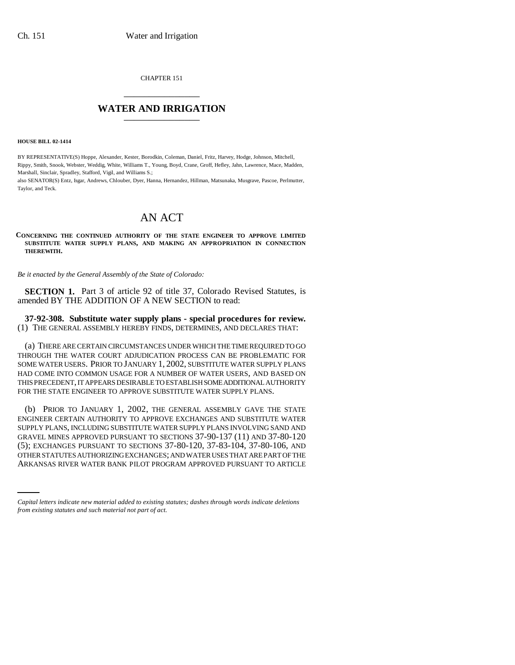CHAPTER 151 \_\_\_\_\_\_\_\_\_\_\_\_\_\_\_

## **WATER AND IRRIGATION** \_\_\_\_\_\_\_\_\_\_\_\_\_\_\_

**HOUSE BILL 02-1414**

BY REPRESENTATIVE(S) Hoppe, Alexander, Kester, Borodkin, Coleman, Daniel, Fritz, Harvey, Hodge, Johnson, Mitchell, Rippy, Smith, Snook, Webster, Weddig, White, Williams T., Young, Boyd, Crane, Groff, Hefley, Jahn, Lawrence, Mace, Madden, Marshall, Sinclair, Spradley, Stafford, Vigil, and Williams S.;

also SENATOR(S) Entz, Isgar, Andrews, Chlouber, Dyer, Hanna, Hernandez, Hillman, Matsunaka, Musgrave, Pascoe, Perlmutter, Taylor, and Teck.

## AN ACT

**CONCERNING THE CONTINUED AUTHORITY OF THE STATE ENGINEER TO APPROVE LIMITED SUBSTITUTE WATER SUPPLY PLANS, AND MAKING AN APPROPRIATION IN CONNECTION THEREWITH.**

*Be it enacted by the General Assembly of the State of Colorado:*

**SECTION 1.** Part 3 of article 92 of title 37, Colorado Revised Statutes, is amended BY THE ADDITION OF A NEW SECTION to read:

**37-92-308. Substitute water supply plans - special procedures for review.** (1) THE GENERAL ASSEMBLY HEREBY FINDS, DETERMINES, AND DECLARES THAT:

(a) THERE ARE CERTAIN CIRCUMSTANCES UNDER WHICH THE TIME REQUIRED TO GO THROUGH THE WATER COURT ADJUDICATION PROCESS CAN BE PROBLEMATIC FOR SOME WATER USERS. PRIOR TO JANUARY 1, 2002, SUBSTITUTE WATER SUPPLY PLANS HAD COME INTO COMMON USAGE FOR A NUMBER OF WATER USERS, AND BASED ON THIS PRECEDENT, IT APPEARS DESIRABLE TO ESTABLISH SOME ADDITIONAL AUTHORITY FOR THE STATE ENGINEER TO APPROVE SUBSTITUTE WATER SUPPLY PLANS.

(5); EXCHANGES PURSUANT TO SECTIONS 37-80-120, 37-83-104, 37-80-106, AND (b) PRIOR TO JANUARY 1, 2002, THE GENERAL ASSEMBLY GAVE THE STATE ENGINEER CERTAIN AUTHORITY TO APPROVE EXCHANGES AND SUBSTITUTE WATER SUPPLY PLANS, INCLUDING SUBSTITUTE WATER SUPPLY PLANS INVOLVING SAND AND GRAVEL MINES APPROVED PURSUANT TO SECTIONS 37-90-137 (11) AND 37-80-120 OTHER STATUTES AUTHORIZING EXCHANGES; AND WATER USES THAT ARE PART OF THE ARKANSAS RIVER WATER BANK PILOT PROGRAM APPROVED PURSUANT TO ARTICLE

*Capital letters indicate new material added to existing statutes; dashes through words indicate deletions from existing statutes and such material not part of act.*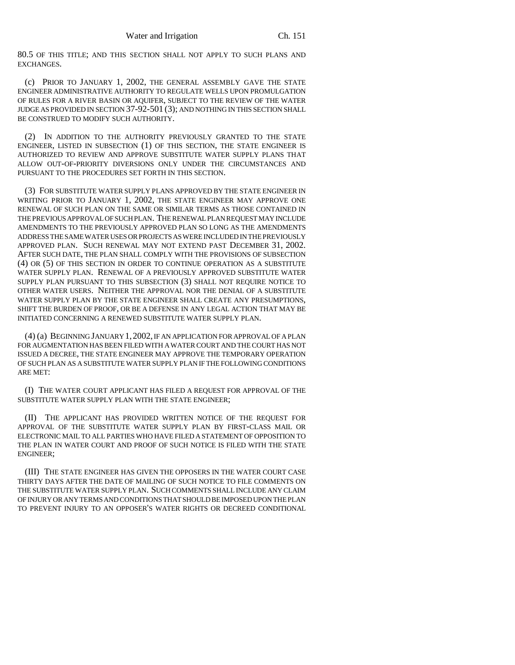80.5 OF THIS TITLE; AND THIS SECTION SHALL NOT APPLY TO SUCH PLANS AND EXCHANGES.

(c) PRIOR TO JANUARY 1, 2002, THE GENERAL ASSEMBLY GAVE THE STATE ENGINEER ADMINISTRATIVE AUTHORITY TO REGULATE WELLS UPON PROMULGATION OF RULES FOR A RIVER BASIN OR AQUIFER, SUBJECT TO THE REVIEW OF THE WATER JUDGE AS PROVIDED IN SECTION 37-92-501 (3); AND NOTHING IN THIS SECTION SHALL BE CONSTRUED TO MODIFY SUCH AUTHORITY.

(2) IN ADDITION TO THE AUTHORITY PREVIOUSLY GRANTED TO THE STATE ENGINEER, LISTED IN SUBSECTION (1) OF THIS SECTION, THE STATE ENGINEER IS AUTHORIZED TO REVIEW AND APPROVE SUBSTITUTE WATER SUPPLY PLANS THAT ALLOW OUT-OF-PRIORITY DIVERSIONS ONLY UNDER THE CIRCUMSTANCES AND PURSUANT TO THE PROCEDURES SET FORTH IN THIS SECTION.

(3) FOR SUBSTITUTE WATER SUPPLY PLANS APPROVED BY THE STATE ENGINEER IN WRITING PRIOR TO JANUARY 1, 2002, THE STATE ENGINEER MAY APPROVE ONE RENEWAL OF SUCH PLAN ON THE SAME OR SIMILAR TERMS AS THOSE CONTAINED IN THE PREVIOUS APPROVAL OF SUCH PLAN. THE RENEWAL PLAN REQUEST MAY INCLUDE AMENDMENTS TO THE PREVIOUSLY APPROVED PLAN SO LONG AS THE AMENDMENTS ADDRESS THE SAME WATER USES OR PROJECTS AS WERE INCLUDED IN THE PREVIOUSLY APPROVED PLAN. SUCH RENEWAL MAY NOT EXTEND PAST DECEMBER 31, 2002. AFTER SUCH DATE, THE PLAN SHALL COMPLY WITH THE PROVISIONS OF SUBSECTION (4) OR (5) OF THIS SECTION IN ORDER TO CONTINUE OPERATION AS A SUBSTITUTE WATER SUPPLY PLAN. RENEWAL OF A PREVIOUSLY APPROVED SUBSTITUTE WATER SUPPLY PLAN PURSUANT TO THIS SUBSECTION (3) SHALL NOT REQUIRE NOTICE TO OTHER WATER USERS. NEITHER THE APPROVAL NOR THE DENIAL OF A SUBSTITUTE WATER SUPPLY PLAN BY THE STATE ENGINEER SHALL CREATE ANY PRESUMPTIONS, SHIFT THE BURDEN OF PROOF, OR BE A DEFENSE IN ANY LEGAL ACTION THAT MAY BE INITIATED CONCERNING A RENEWED SUBSTITUTE WATER SUPPLY PLAN.

(4) (a) BEGINNING JANUARY 1,2002, IF AN APPLICATION FOR APPROVAL OF A PLAN FOR AUGMENTATION HAS BEEN FILED WITH A WATER COURT AND THE COURT HAS NOT ISSUED A DECREE, THE STATE ENGINEER MAY APPROVE THE TEMPORARY OPERATION OF SUCH PLAN AS A SUBSTITUTE WATER SUPPLY PLAN IF THE FOLLOWING CONDITIONS ARE MET:

(I) THE WATER COURT APPLICANT HAS FILED A REQUEST FOR APPROVAL OF THE SUBSTITUTE WATER SUPPLY PLAN WITH THE STATE ENGINEER;

(II) THE APPLICANT HAS PROVIDED WRITTEN NOTICE OF THE REQUEST FOR APPROVAL OF THE SUBSTITUTE WATER SUPPLY PLAN BY FIRST-CLASS MAIL OR ELECTRONIC MAIL TO ALL PARTIES WHO HAVE FILED A STATEMENT OF OPPOSITION TO THE PLAN IN WATER COURT AND PROOF OF SUCH NOTICE IS FILED WITH THE STATE ENGINEER;

(III) THE STATE ENGINEER HAS GIVEN THE OPPOSERS IN THE WATER COURT CASE THIRTY DAYS AFTER THE DATE OF MAILING OF SUCH NOTICE TO FILE COMMENTS ON THE SUBSTITUTE WATER SUPPLY PLAN. SUCH COMMENTS SHALL INCLUDE ANY CLAIM OF INJURY OR ANY TERMS AND CONDITIONS THAT SHOULD BE IMPOSED UPON THE PLAN TO PREVENT INJURY TO AN OPPOSER'S WATER RIGHTS OR DECREED CONDITIONAL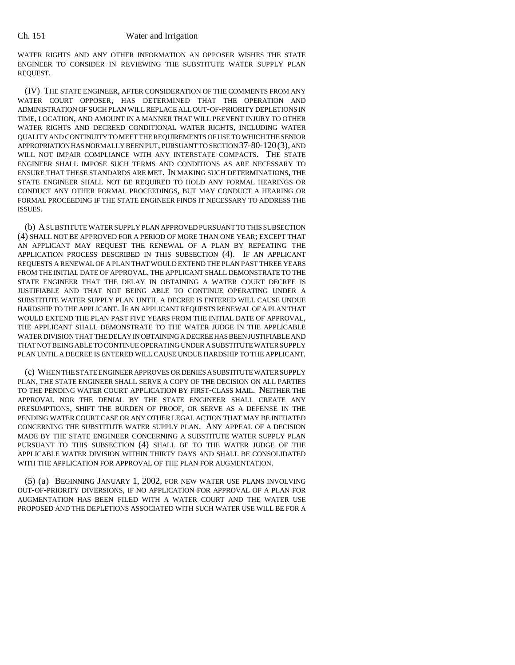## Ch. 151 Water and Irrigation

WATER RIGHTS AND ANY OTHER INFORMATION AN OPPOSER WISHES THE STATE ENGINEER TO CONSIDER IN REVIEWING THE SUBSTITUTE WATER SUPPLY PLAN REQUEST.

(IV) THE STATE ENGINEER, AFTER CONSIDERATION OF THE COMMENTS FROM ANY WATER COURT OPPOSER, HAS DETERMINED THAT THE OPERATION AND ADMINISTRATION OF SUCH PLAN WILL REPLACE ALL OUT-OF-PRIORITY DEPLETIONS IN TIME, LOCATION, AND AMOUNT IN A MANNER THAT WILL PREVENT INJURY TO OTHER WATER RIGHTS AND DECREED CONDITIONAL WATER RIGHTS, INCLUDING WATER QUALITY AND CONTINUITY TO MEET THE REQUIREMENTS OF USE TO WHICH THE SENIOR APPROPRIATION HAS NORMALLY BEEN PUT, PURSUANT TO SECTION 37-80-120(3), AND WILL NOT IMPAIR COMPLIANCE WITH ANY INTERSTATE COMPACTS. THE STATE ENGINEER SHALL IMPOSE SUCH TERMS AND CONDITIONS AS ARE NECESSARY TO ENSURE THAT THESE STANDARDS ARE MET. IN MAKING SUCH DETERMINATIONS, THE STATE ENGINEER SHALL NOT BE REQUIRED TO HOLD ANY FORMAL HEARINGS OR CONDUCT ANY OTHER FORMAL PROCEEDINGS, BUT MAY CONDUCT A HEARING OR FORMAL PROCEEDING IF THE STATE ENGINEER FINDS IT NECESSARY TO ADDRESS THE ISSUES.

(b) A SUBSTITUTE WATER SUPPLY PLAN APPROVED PURSUANT TO THIS SUBSECTION (4) SHALL NOT BE APPROVED FOR A PERIOD OF MORE THAN ONE YEAR; EXCEPT THAT AN APPLICANT MAY REQUEST THE RENEWAL OF A PLAN BY REPEATING THE APPLICATION PROCESS DESCRIBED IN THIS SUBSECTION (4). IF AN APPLICANT REQUESTS A RENEWAL OF A PLAN THAT WOULD EXTEND THE PLAN PAST THREE YEARS FROM THE INITIAL DATE OF APPROVAL, THE APPLICANT SHALL DEMONSTRATE TO THE STATE ENGINEER THAT THE DELAY IN OBTAINING A WATER COURT DECREE IS JUSTIFIABLE AND THAT NOT BEING ABLE TO CONTINUE OPERATING UNDER A SUBSTITUTE WATER SUPPLY PLAN UNTIL A DECREE IS ENTERED WILL CAUSE UNDUE HARDSHIP TO THE APPLICANT. IF AN APPLICANT REQUESTS RENEWAL OF A PLAN THAT WOULD EXTEND THE PLAN PAST FIVE YEARS FROM THE INITIAL DATE OF APPROVAL, THE APPLICANT SHALL DEMONSTRATE TO THE WATER JUDGE IN THE APPLICABLE WATER DIVISION THAT THE DELAY IN OBTAINING A DECREE HAS BEEN JUSTIFIABLE AND THAT NOT BEING ABLE TO CONTINUE OPERATING UNDER A SUBSTITUTE WATER SUPPLY PLAN UNTIL A DECREE IS ENTERED WILL CAUSE UNDUE HARDSHIP TO THE APPLICANT.

(c) WHEN THE STATE ENGINEER APPROVES OR DENIES A SUBSTITUTE WATER SUPPLY PLAN, THE STATE ENGINEER SHALL SERVE A COPY OF THE DECISION ON ALL PARTIES TO THE PENDING WATER COURT APPLICATION BY FIRST-CLASS MAIL. NEITHER THE APPROVAL NOR THE DENIAL BY THE STATE ENGINEER SHALL CREATE ANY PRESUMPTIONS, SHIFT THE BURDEN OF PROOF, OR SERVE AS A DEFENSE IN THE PENDING WATER COURT CASE OR ANY OTHER LEGAL ACTION THAT MAY BE INITIATED CONCERNING THE SUBSTITUTE WATER SUPPLY PLAN. ANY APPEAL OF A DECISION MADE BY THE STATE ENGINEER CONCERNING A SUBSTITUTE WATER SUPPLY PLAN PURSUANT TO THIS SUBSECTION (4) SHALL BE TO THE WATER JUDGE OF THE APPLICABLE WATER DIVISION WITHIN THIRTY DAYS AND SHALL BE CONSOLIDATED WITH THE APPLICATION FOR APPROVAL OF THE PLAN FOR AUGMENTATION.

(5) (a) BEGINNING JANUARY 1, 2002, FOR NEW WATER USE PLANS INVOLVING OUT-OF-PRIORITY DIVERSIONS, IF NO APPLICATION FOR APPROVAL OF A PLAN FOR AUGMENTATION HAS BEEN FILED WITH A WATER COURT AND THE WATER USE PROPOSED AND THE DEPLETIONS ASSOCIATED WITH SUCH WATER USE WILL BE FOR A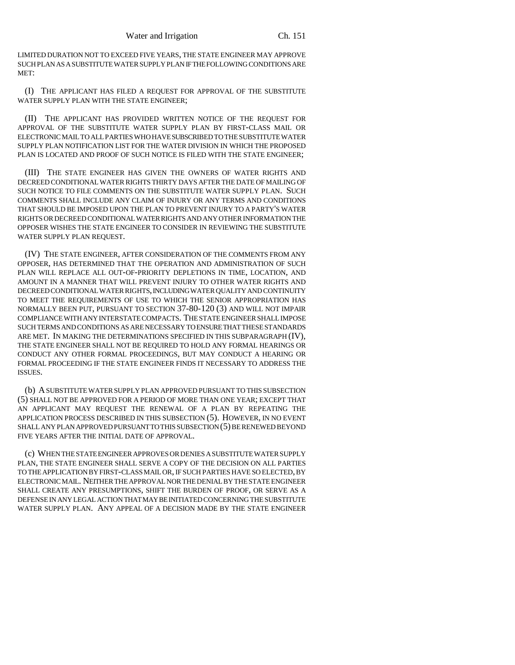LIMITED DURATION NOT TO EXCEED FIVE YEARS, THE STATE ENGINEER MAY APPROVE SUCH PLAN AS A SUBSTITUTE WATER SUPPLY PLAN IF THE FOLLOWING CONDITIONS ARE MET:

(I) THE APPLICANT HAS FILED A REQUEST FOR APPROVAL OF THE SUBSTITUTE WATER SUPPLY PLAN WITH THE STATE ENGINEER;

(II) THE APPLICANT HAS PROVIDED WRITTEN NOTICE OF THE REQUEST FOR APPROVAL OF THE SUBSTITUTE WATER SUPPLY PLAN BY FIRST-CLASS MAIL OR ELECTRONIC MAIL TO ALL PARTIES WHO HAVE SUBSCRIBED TO THE SUBSTITUTE WATER SUPPLY PLAN NOTIFICATION LIST FOR THE WATER DIVISION IN WHICH THE PROPOSED PLAN IS LOCATED AND PROOF OF SUCH NOTICE IS FILED WITH THE STATE ENGINEER;

(III) THE STATE ENGINEER HAS GIVEN THE OWNERS OF WATER RIGHTS AND DECREED CONDITIONAL WATER RIGHTS THIRTY DAYS AFTER THE DATE OF MAILING OF SUCH NOTICE TO FILE COMMENTS ON THE SUBSTITUTE WATER SUPPLY PLAN. SUCH COMMENTS SHALL INCLUDE ANY CLAIM OF INJURY OR ANY TERMS AND CONDITIONS THAT SHOULD BE IMPOSED UPON THE PLAN TO PREVENT INJURY TO A PARTY'S WATER RIGHTS OR DECREED CONDITIONAL WATER RIGHTS AND ANY OTHER INFORMATION THE OPPOSER WISHES THE STATE ENGINEER TO CONSIDER IN REVIEWING THE SUBSTITUTE WATER SUPPLY PLAN REQUEST.

(IV) THE STATE ENGINEER, AFTER CONSIDERATION OF THE COMMENTS FROM ANY OPPOSER, HAS DETERMINED THAT THE OPERATION AND ADMINISTRATION OF SUCH PLAN WILL REPLACE ALL OUT-OF-PRIORITY DEPLETIONS IN TIME, LOCATION, AND AMOUNT IN A MANNER THAT WILL PREVENT INJURY TO OTHER WATER RIGHTS AND DECREED CONDITIONAL WATER RIGHTS, INCLUDING WATER QUALITY AND CONTINUITY TO MEET THE REQUIREMENTS OF USE TO WHICH THE SENIOR APPROPRIATION HAS NORMALLY BEEN PUT, PURSUANT TO SECTION 37-80-120 (3) AND WILL NOT IMPAIR COMPLIANCE WITH ANY INTERSTATE COMPACTS. THE STATE ENGINEER SHALL IMPOSE SUCH TERMS AND CONDITIONS AS ARE NECESSARY TO ENSURE THAT THESE STANDARDS ARE MET. IN MAKING THE DETERMINATIONS SPECIFIED IN THIS SUBPARAGRAPH (IV), THE STATE ENGINEER SHALL NOT BE REQUIRED TO HOLD ANY FORMAL HEARINGS OR CONDUCT ANY OTHER FORMAL PROCEEDINGS, BUT MAY CONDUCT A HEARING OR FORMAL PROCEEDING IF THE STATE ENGINEER FINDS IT NECESSARY TO ADDRESS THE ISSUES.

(b) A SUBSTITUTE WATER SUPPLY PLAN APPROVED PURSUANT TO THIS SUBSECTION (5) SHALL NOT BE APPROVED FOR A PERIOD OF MORE THAN ONE YEAR; EXCEPT THAT AN APPLICANT MAY REQUEST THE RENEWAL OF A PLAN BY REPEATING THE APPLICATION PROCESS DESCRIBED IN THIS SUBSECTION (5). HOWEVER, IN NO EVENT SHALL ANY PLAN APPROVED PURSUANT TO THIS SUBSECTION (5) BE RENEWED BEYOND FIVE YEARS AFTER THE INITIAL DATE OF APPROVAL.

(c) WHEN THE STATE ENGINEER APPROVES OR DENIES A SUBSTITUTE WATER SUPPLY PLAN, THE STATE ENGINEER SHALL SERVE A COPY OF THE DECISION ON ALL PARTIES TO THE APPLICATION BY FIRST-CLASS MAIL OR, IF SUCH PARTIES HAVE SO ELECTED, BY ELECTRONIC MAIL. NEITHER THE APPROVAL NOR THE DENIAL BY THE STATE ENGINEER SHALL CREATE ANY PRESUMPTIONS, SHIFT THE BURDEN OF PROOF, OR SERVE AS A DEFENSE IN ANY LEGAL ACTION THAT MAY BE INITIATED CONCERNING THE SUBSTITUTE WATER SUPPLY PLAN. ANY APPEAL OF A DECISION MADE BY THE STATE ENGINEER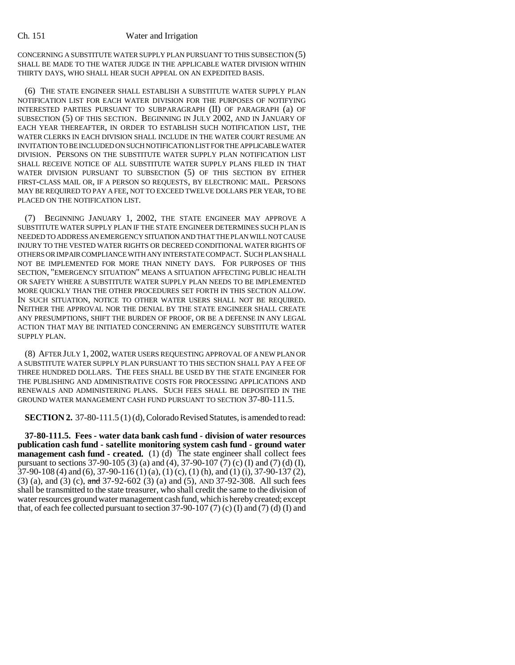## Ch. 151 Water and Irrigation

CONCERNING A SUBSTITUTE WATER SUPPLY PLAN PURSUANT TO THIS SUBSECTION (5) SHALL BE MADE TO THE WATER JUDGE IN THE APPLICABLE WATER DIVISION WITHIN THIRTY DAYS, WHO SHALL HEAR SUCH APPEAL ON AN EXPEDITED BASIS.

(6) THE STATE ENGINEER SHALL ESTABLISH A SUBSTITUTE WATER SUPPLY PLAN NOTIFICATION LIST FOR EACH WATER DIVISION FOR THE PURPOSES OF NOTIFYING INTERESTED PARTIES PURSUANT TO SUBPARAGRAPH (II) OF PARAGRAPH (a) OF SUBSECTION (5) OF THIS SECTION. BEGINNING IN JULY 2002, AND IN JANUARY OF EACH YEAR THEREAFTER, IN ORDER TO ESTABLISH SUCH NOTIFICATION LIST, THE WATER CLERKS IN EACH DIVISION SHALL INCLUDE IN THE WATER COURT RESUME AN INVITATION TO BE INCLUDED ON SUCH NOTIFICATION LIST FOR THE APPLICABLE WATER DIVISION. PERSONS ON THE SUBSTITUTE WATER SUPPLY PLAN NOTIFICATION LIST SHALL RECEIVE NOTICE OF ALL SUBSTITUTE WATER SUPPLY PLANS FILED IN THAT WATER DIVISION PURSUANT TO SUBSECTION (5) OF THIS SECTION BY EITHER FIRST-CLASS MAIL OR, IF A PERSON SO REQUESTS, BY ELECTRONIC MAIL. PERSONS MAY BE REQUIRED TO PAY A FEE, NOT TO EXCEED TWELVE DOLLARS PER YEAR, TO BE PLACED ON THE NOTIFICATION LIST.

(7) BEGINNING JANUARY 1, 2002, THE STATE ENGINEER MAY APPROVE A SUBSTITUTE WATER SUPPLY PLAN IF THE STATE ENGINEER DETERMINES SUCH PLAN IS NEEDED TO ADDRESS AN EMERGENCY SITUATION AND THAT THE PLAN WILL NOT CAUSE INJURY TO THE VESTED WATER RIGHTS OR DECREED CONDITIONAL WATER RIGHTS OF OTHERS OR IMPAIR COMPLIANCE WITH ANY INTERSTATE COMPACT. SUCH PLAN SHALL NOT BE IMPLEMENTED FOR MORE THAN NINETY DAYS. FOR PURPOSES OF THIS SECTION, "EMERGENCY SITUATION" MEANS A SITUATION AFFECTING PUBLIC HEALTH OR SAFETY WHERE A SUBSTITUTE WATER SUPPLY PLAN NEEDS TO BE IMPLEMENTED MORE QUICKLY THAN THE OTHER PROCEDURES SET FORTH IN THIS SECTION ALLOW. IN SUCH SITUATION, NOTICE TO OTHER WATER USERS SHALL NOT BE REQUIRED. NEITHER THE APPROVAL NOR THE DENIAL BY THE STATE ENGINEER SHALL CREATE ANY PRESUMPTIONS, SHIFT THE BURDEN OF PROOF, OR BE A DEFENSE IN ANY LEGAL ACTION THAT MAY BE INITIATED CONCERNING AN EMERGENCY SUBSTITUTE WATER SUPPLY PLAN.

(8) AFTER JULY 1, 2002, WATER USERS REQUESTING APPROVAL OF A NEW PLAN OR A SUBSTITUTE WATER SUPPLY PLAN PURSUANT TO THIS SECTION SHALL PAY A FEE OF THREE HUNDRED DOLLARS. THE FEES SHALL BE USED BY THE STATE ENGINEER FOR THE PUBLISHING AND ADMINISTRATIVE COSTS FOR PROCESSING APPLICATIONS AND RENEWALS AND ADMINISTERING PLANS. SUCH FEES SHALL BE DEPOSITED IN THE GROUND WATER MANAGEMENT CASH FUND PURSUANT TO SECTION 37-80-111.5.

**SECTION 2.** 37-80-111.5 (1) (d), Colorado Revised Statutes, is amended to read:

**37-80-111.5. Fees - water data bank cash fund - division of water resources publication cash fund - satellite monitoring system cash fund - ground water management cash fund - created.** (1) (d) The state engineer shall collect fees pursuant to sections 37-90-105 (3) (a) and (4), 37-90-107 (7) (c) (I) and (7) (d) (I), 37-90-108 (4) and (6), 37-90-116 (1) (a), (1) (c), (1) (h), and (1) (i), 37-90-137 (2), (3) (a), and (3) (c), and 37-92-602 (3) (a) and (5), AND 37-92-308. All such fees shall be transmitted to the state treasurer, who shall credit the same to the division of water resources ground water management cash fund, which is hereby created; except that, of each fee collected pursuant to section  $37-90-107$  (7) (c) (I) and (7) (d) (I) and